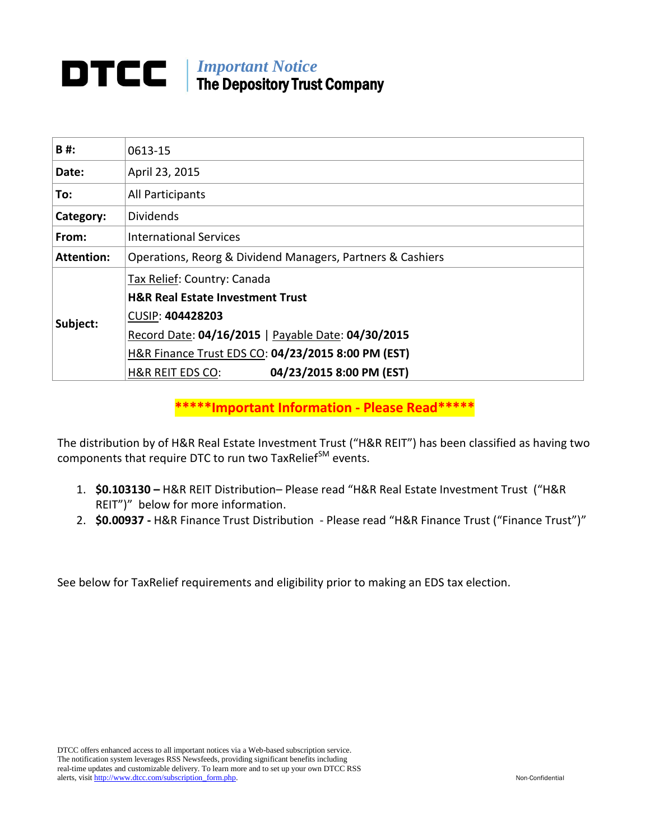# *Important Notice* The Depository Trust Company

| B#:               | 0613-15                                                    |
|-------------------|------------------------------------------------------------|
| Date:             | April 23, 2015                                             |
| To:               | All Participants                                           |
| Category:         | <b>Dividends</b>                                           |
| From:             | <b>International Services</b>                              |
| <b>Attention:</b> | Operations, Reorg & Dividend Managers, Partners & Cashiers |
| Subject:          | Tax Relief: Country: Canada                                |
|                   | <b>H&amp;R Real Estate Investment Trust</b>                |
|                   | CUSIP: 404428203                                           |
|                   | Record Date: 04/16/2015   Payable Date: 04/30/2015         |
|                   | H&R Finance Trust EDS CO: 04/23/2015 8:00 PM (EST)         |
|                   | 04/23/2015 8:00 PM (EST)<br><b>H&amp;R REIT EDS CO:</b>    |

**\*\*\*\*\*Important Information - Please Read\*\*\*\*\***

The distribution by of H&R Real Estate Investment Trust ("H&R REIT") has been classified as having two components that require DTC to run two TaxRelief<sup>SM</sup> events.

- 1. **\$0.103130 –** H&R REIT Distribution– Please read "H&R Real Estate Investment Trust ("H&R REIT")" below for more information.
- 2. **\$0.00937 -** H&R Finance Trust Distribution Please read "H&R Finance Trust ("Finance Trust")"

See below for TaxRelief requirements and eligibility prior to making an EDS tax election.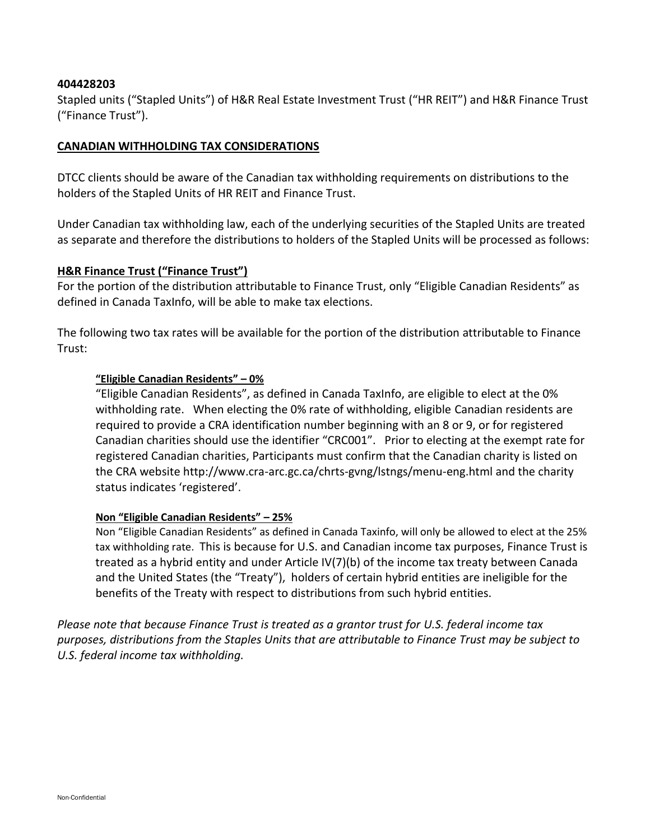## **404428203**

Stapled units ("Stapled Units") of H&R Real Estate Investment Trust ("HR REIT") and H&R Finance Trust ("Finance Trust").

# **CANADIAN WITHHOLDING TAX CONSIDERATIONS**

DTCC clients should be aware of the Canadian tax withholding requirements on distributions to the holders of the Stapled Units of HR REIT and Finance Trust.

Under Canadian tax withholding law, each of the underlying securities of the Stapled Units are treated as separate and therefore the distributions to holders of the Stapled Units will be processed as follows:

#### **H&R Finance Trust ("Finance Trust")**

For the portion of the distribution attributable to Finance Trust, only "Eligible Canadian Residents" as defined in Canada TaxInfo, will be able to make tax elections.

The following two tax rates will be available for the portion of the distribution attributable to Finance Trust:

## **"Eligible Canadian Residents" – 0%**

"Eligible Canadian Residents", as defined in Canada TaxInfo, are eligible to elect at the 0% withholding rate. When electing the 0% rate of withholding, eligible Canadian residents are required to provide a CRA identification number beginning with an 8 or 9, or for registered Canadian charities should use the identifier "CRC001". Prior to electing at the exempt rate for registered Canadian charities, Participants must confirm that the Canadian charity is listed on the CRA website http://www.cra-arc.gc.ca/chrts-gvng/lstngs/menu-eng.html and the charity status indicates 'registered'.

#### **Non "Eligible Canadian Residents" – 25%**

Non "Eligible Canadian Residents" as defined in Canada Taxinfo, will only be allowed to elect at the 25% tax withholding rate. This is because for U.S. and Canadian income tax purposes, Finance Trust is treated as a hybrid entity and under Article IV(7)(b) of the income tax treaty between Canada and the United States (the "Treaty"), holders of certain hybrid entities are ineligible for the benefits of the Treaty with respect to distributions from such hybrid entities.

*Please note that because Finance Trust is treated as a grantor trust for U.S. federal income tax purposes, distributions from the Staples Units that are attributable to Finance Trust may be subject to U.S. federal income tax withholding.*